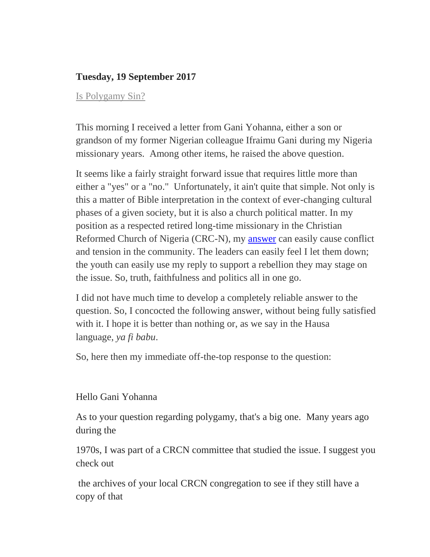## **Tuesday, 19 September 2017**

## [Is Polygamy Sin?](http://boerjh.blogspot.ca/2017/09/post-186-is-polygamy-sin.html)

This morning I received a letter from Gani Yohanna, either a son or grandson of my former Nigerian colleague Ifraimu Gani during my Nigeria missionary years. Among other items, he raised the above question.

It seems like a fairly straight forward issue that requires little more than either a "yes" or a "no." Unfortunately, it ain't quite that simple. Not only is this a matter of Bible interpretation in the context of ever-changing cultural phases of a given society, but it is also a church political matter. In my position as a respected retired long-time missionary in the Christian Reformed Church of Nigeria (CRC-N), my [answer](http://boerjh.blogspot.ca/2017/09/) can easily cause conflict and tension in the community. The leaders can easily feel I let them down; the youth can easily use my reply to support a rebellion they may stage on the issue. So, truth, faithfulness and politics all in one go.

I did not have much time to develop a completely reliable answer to the question. So, I concocted the following answer, without being fully satisfied with it. I hope it is better than nothing or, as we say in the Hausa language, *ya fi babu*.

So, here then my immediate off-the-top response to the question:

## Hello Gani Yohanna

As to your question regarding polygamy, that's a big one. Many years ago during the

1970s, I was part of a CRCN committee that studied the issue. I suggest you check out

the archives of your local CRCN congregation to see if they still have a copy of that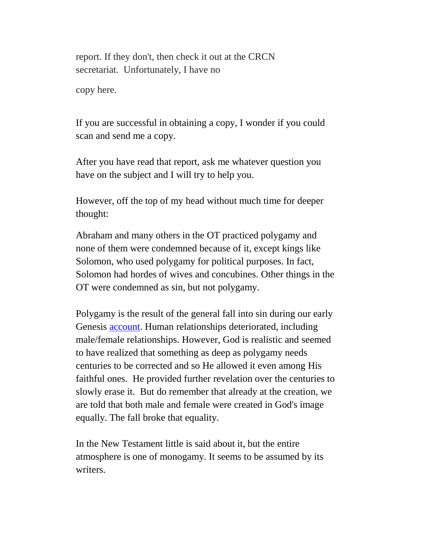report. If they don't, then check it out at the CRCN secretariat. Unfortunately, I have no

copy here.

If you are successful in obtaining a copy, I wonder if you could scan and send me a copy.

After you have read that report, ask me whatever question you have on the subject and I will try to help you.

However, off the top of my head without much time for deeper thought:

Abraham and many others in the OT practiced polygamy and none of them were condemned because of it, except kings like Solomon, who used polygamy for political purposes. In fact, Solomon had hordes of wives and concubines. Other things in the OT were condemned as sin, but not polygamy.

Polygamy is the result of the general fall into sin during our early Genesis [account.](http://boerjh.blogspot.ca/2017/09/) Human relationships deteriorated, including male/female relationships. However, God is realistic and seemed to have realized that something as deep as polygamy needs centuries to be corrected and so He allowed it even among His faithful ones. He provided further revelation over the centuries to slowly erase it. But do remember that already at the creation, we are told that both male and female were created in God's image equally. The fall broke that equality.

In the New Testament little is said about it, but the entire atmosphere is one of monogamy. It seems to be assumed by its writers.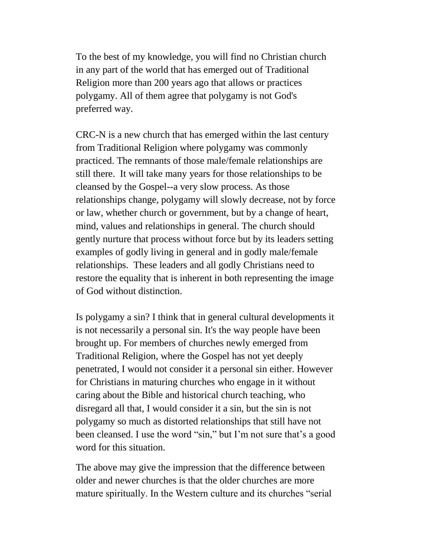To the best of my knowledge, you will find no Christian church in any part of the world that has emerged out of Traditional Religion more than 200 years ago that allows or practices polygamy. All of them agree that polygamy is not God's preferred way.

CRC-N is a new church that has emerged within the last century from Traditional Religion where polygamy was commonly practiced. The remnants of those male/female relationships are still there. It will take many years for those relationships to be cleansed by the Gospel--a very slow process. As those relationships change, polygamy will slowly decrease, not by force or law, whether church or government, but by a change of heart, mind, values and relationships in general. The church should gently nurture that process without force but by its leaders setting examples of godly living in general and in godly male/female relationships. These leaders and all godly Christians need to restore the equality that is inherent in both representing the image of God without distinction.

Is polygamy a sin? I think that in general cultural developments it is not necessarily a personal sin. It's the way people have been brought up. For members of churches newly emerged from Traditional Religion, where the Gospel has not yet deeply penetrated, I would not consider it a personal sin either. However for Christians in maturing churches who engage in it without caring about the Bible and historical church teaching, who disregard all that, I would consider it a sin, but the sin is not polygamy so much as distorted relationships that still have not been cleansed. I use the word "sin," but I'm not sure that's a good word for this situation.

The above may give the impression that the difference between older and newer churches is that the older churches are more mature spiritually. In the Western culture and its churches "serial